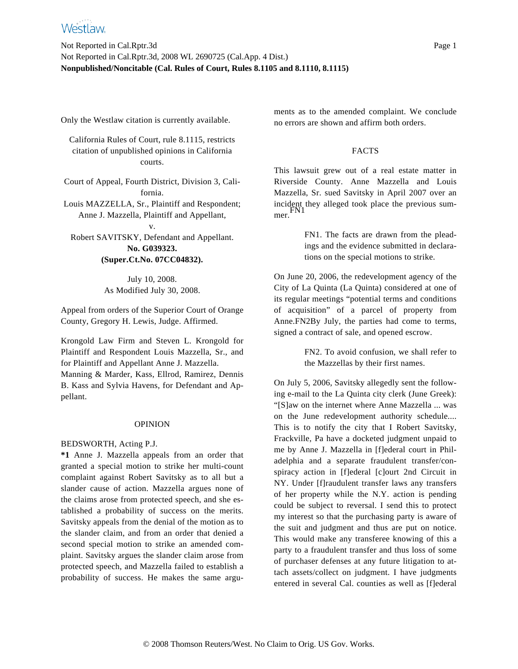Only the Westlaw citation is currently available.

California Rules of Court, rule 8.1115, restricts citation of unpublished opinions in California courts.

Court of Appeal, Fourth District, Division 3, California.

Louis MAZZELLA, Sr., Plaintiff and Respondent; Anne J. Mazzella, Plaintiff and Appellant,

v. Robert SAVITSKY, Defendant and Appellant. **No. G039323. (Super.Ct.No. 07CC04832).**

> July 10, 2008. As Modified July 30, 2008.

Appeal from orders of the Superior Court of Orange County, Gregory H. Lewis, Judge. Affirmed.

Krongold Law Firm and Steven L. Krongold for Plaintiff and Respondent Louis Mazzella, Sr., and for Plaintiff and Appellant Anne J. Mazzella.

Manning & Marder, Kass, Ellrod, Ramirez, Dennis B. Kass and Sylvia Havens, for Defendant and Appellant.

# OPINION

# BEDSWORTH, Acting P.J.

**\*1** Anne J. Mazzella appeals from an order that granted a special motion to strike her multi-count complaint against Robert Savitsky as to all but a slander cause of action. Mazzella argues none of the claims arose from protected speech, and she established a probability of success on the merits. Savitsky appeals from the denial of the motion as to the slander claim, and from an order that denied a second special motion to strike an amended complaint. Savitsky argues the slander claim arose from protected speech, and Mazzella failed to establish a probability of success. He makes the same arguments as to the amended complaint. We conclude no errors are shown and affirm both orders.

## FACTS

This lawsuit grew out of a real estate matter in Riverside County. Anne Mazzella and Louis Mazzella, Sr. sued Savitsky in April 2007 over an incident they alleged took place the previous summer. FN1

> FN1. The facts are drawn from the pleadings and the evidence submitted in declarations on the special motions to strike.

On June 20, 2006, the redevelopment agency of the City of La Quinta (La Quinta) considered at one of its regular meetings "potential terms and conditions of acquisition" of a parcel of property from Anne.FN2By July, the parties had come to terms, signed a contract of sale, and opened escrow.

> FN2. To avoid confusion, we shall refer to the Mazzellas by their first names.

On July 5, 2006, Savitsky allegedly sent the following e-mail to the La Quinta city clerk (June Greek): "[S]aw on the internet where Anne Mazzella ... was on the June redevelopment authority schedule.... This is to notify the city that I Robert Savitsky, Frackville, Pa have a docketed judgment unpaid to me by Anne J. Mazzella in [f]ederal court in Philadelphia and a separate fraudulent transfer/conspiracy action in [f]ederal [c]ourt 2nd Circuit in NY. Under [f]raudulent transfer laws any transfers of her property while the N.Y. action is pending could be subject to reversal. I send this to protect my interest so that the purchasing party is aware of the suit and judgment and thus are put on notice. This would make any transferee knowing of this a party to a fraudulent transfer and thus loss of some of purchaser defenses at any future litigation to attach assets/collect on judgment. I have judgments entered in several Cal. counties as well as [f]ederal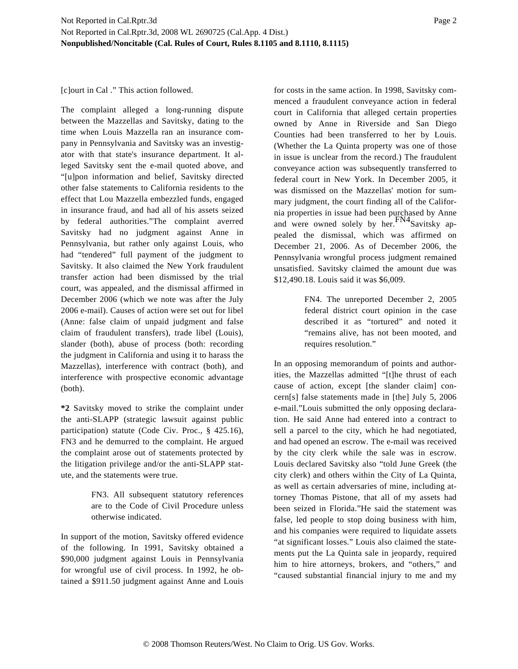[c]ourt in Cal ." This action followed.

The complaint alleged a long-running dispute between the Mazzellas and Savitsky, dating to the time when Louis Mazzella ran an insurance company in Pennsylvania and Savitsky was an investigator with that state's insurance department. It alleged Savitsky sent the e-mail quoted above, and "[u]pon information and belief, Savitsky directed other false statements to California residents to the effect that Lou Mazzella embezzled funds, engaged in insurance fraud, and had all of his assets seized by federal authorities."The complaint averred Savitsky had no judgment against Anne in Pennsylvania, but rather only against Louis, who had "tendered" full payment of the judgment to Savitsky. It also claimed the New York fraudulent transfer action had been dismissed by the trial court, was appealed, and the dismissal affirmed in December 2006 (which we note was after the July 2006 e-mail). Causes of action were set out for libel (Anne: false claim of unpaid judgment and false claim of fraudulent transfers), trade libel (Louis), slander (both), abuse of process (both: recording the judgment in California and using it to harass the Mazzellas), interference with contract (both), and interference with prospective economic advantage (both).

**\*2** Savitsky moved to strike the complaint under the anti-SLAPP (strategic lawsuit against public participation) statute (Code Civ. Proc., § 425.16), FN3 and he demurred to the complaint. He argued the complaint arose out of statements protected by the litigation privilege and/or the anti-SLAPP statute, and the statements were true.

> FN3. All subsequent statutory references are to the Code of Civil Procedure unless otherwise indicated.

In support of the motion, Savitsky offered evidence of the following. In 1991, Savitsky obtained a \$90,000 judgment against Louis in Pennsylvania for wrongful use of civil process. In 1992, he obtained a \$911.50 judgment against Anne and Louis for costs in the same action. In 1998, Savitsky commenced a fraudulent conveyance action in federal court in California that alleged certain properties owned by Anne in Riverside and San Diego Counties had been transferred to her by Louis. (Whether the La Quinta property was one of those in issue is unclear from the record.) The fraudulent conveyance action was subsequently transferred to federal court in New York. In December 2005, it was dismissed on the Mazzellas' motion for summary judgment, the court finding all of the California properties in issue had been purchased by Anne and were owned solely by her.  $FNA$ Savitsky appealed the dismissal, which was affirmed on December 21, 2006. As of December 2006, the Pennsylvania wrongful process judgment remained unsatisfied. Savitsky claimed the amount due was \$12,490.18. Louis said it was \$6,009.

> FN4. The unreported December 2, 2005 federal district court opinion in the case described it as "tortured" and noted it "remains alive, has not been mooted, and requires resolution."

In an opposing memorandum of points and authorities, the Mazzellas admitted "[t]he thrust of each cause of action, except [the slander claim] concern[s] false statements made in [the] July 5, 2006 e-mail."Louis submitted the only opposing declaration. He said Anne had entered into a contract to sell a parcel to the city, which he had negotiated, and had opened an escrow. The e-mail was received by the city clerk while the sale was in escrow. Louis declared Savitsky also "told June Greek (the city clerk) and others within the City of La Quinta, as well as certain adversaries of mine, including attorney Thomas Pistone, that all of my assets had been seized in Florida."He said the statement was false, led people to stop doing business with him, and his companies were required to liquidate assets "at significant losses." Louis also claimed the statements put the La Quinta sale in jeopardy, required him to hire attorneys, brokers, and "others," and "caused substantial financial injury to me and my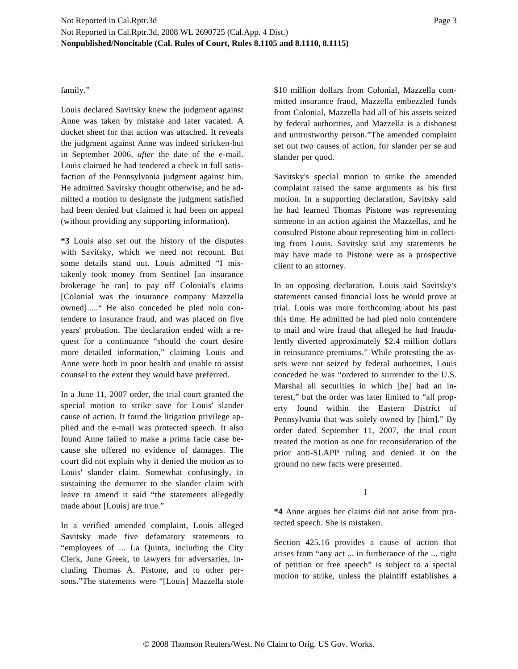## family."

Louis declared Savitsky knew the judgment against Anne was taken by mistake and later vacated. A docket sheet for that action was attached. It reveals the judgment against Anne was indeed stricken-but in September 2006, *after* the date of the e-mail. Louis claimed he had tendered a check in full satisfaction of the Pennsylvania judgment against him. He admitted Savitsky thought otherwise, and he admitted a motion to designate the judgment satisfied had been denied but claimed it had been on appeal (without providing any supporting information).

**\*3** Louis also set out the history of the disputes with Savitsky, which we need not recount. But some details stand out. Louis admitted "I mistakenly took money from Sentinel [an insurance brokerage he ran] to pay off Colonial's claims [Colonial was the insurance company Mazzella owned]....." He also conceded he pled nolo contendere to insurance fraud, and was placed on five years' probation. The declaration ended with a request for a continuance "should the court desire more detailed information," claiming Louis and Anne were both in poor health and unable to assist counsel to the extent they would have preferred.

In a June 11, 2007 order, the trial court granted the special motion to strike save for Louis' slander cause of action. It found the litigation privilege applied and the e-mail was protected speech. It also found Anne failed to make a prima facie case because she offered no evidence of damages. The court did not explain why it denied the motion as to Louis' slander claim. Somewhat confusingly, in sustaining the demurrer to the slander claim with leave to amend it said "the statements allegedly made about [Louis] are true."

In a verified amended complaint, Louis alleged Savitsky made five defamatory statements to "employees of ... La Quinta, including the City Clerk, June Greek, to lawyers for adversaries, including Thomas A. Pistone, and to other persons."The statements were "[Louis] Mazzella stole \$10 million dollars from Colonial, Mazzella committed insurance fraud, Mazzella embezzled funds from Colonial, Mazzella had all of his assets seized by federal authorities, and Mazzella is a dishonest and untrustworthy person."The amended complaint set out two causes of action, for slander per se and slander per quod.

Savitsky's special motion to strike the amended complaint raised the same arguments as his first motion. In a supporting declaration, Savitsky said he had learned Thomas Pistone was representing someone in an action against the Mazzellas, and he consulted Pistone about representing him in collecting from Louis. Savitsky said any statements he may have made to Pistone were as a prospective client to an attorney.

In an opposing declaration, Louis said Savitsky's statements caused financial loss he would prove at trial. Louis was more forthcoming about his past this time. He admitted he had pled nolo contendere to mail and wire fraud that alleged he had fraudulently diverted approximately \$2.4 million dollars in reinsurance premiums." While protesting the assets were not seized by federal authorities, Louis conceded he was "ordered to surrender to the U.S. Marshal all securities in which [he] had an interest," but the order was later limited to "all property found within the Eastern District of Pennsylvania that was solely owned by [him]." By order dated September 11, 2007, the trial court treated the motion as one for reconsideration of the prior anti-SLAPP ruling and denied it on the ground no new facts were presented.

#### I

**\*4** Anne argues her claims did not arise from protected speech. She is mistaken.

Section 425.16 provides a cause of action that arises from "any act ... in furtherance of the ... right of petition or free speech" is subject to a special motion to strike, unless the plaintiff establishes a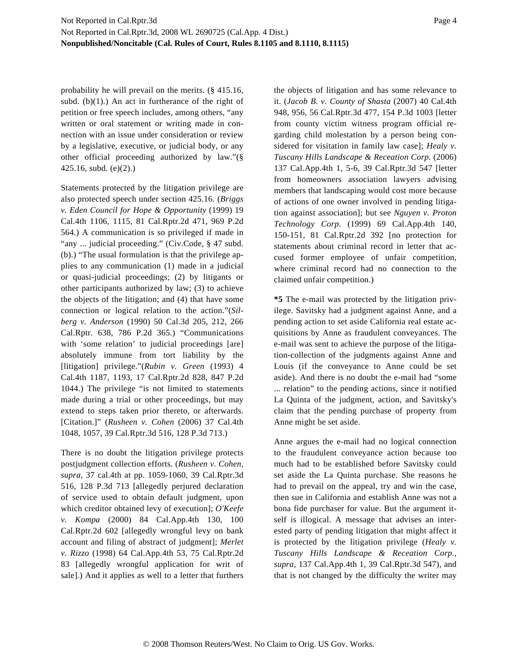probability he will prevail on the merits. (§ 415.16, subd.  $(b)(1)$ .) An act in furtherance of the right of petition or free speech includes, among others, "any written or oral statement or writing made in connection with an issue under consideration or review by a legislative, executive, or judicial body, or any other official proceeding authorized by law."(§ 425.16, subd. (e)(2).)

Statements protected by the litigation privilege are also protected speech under section 425.16. (*Briggs v. Eden Council for Hope & Opportunity* (1999) 19 Cal.4th 1106, 1115, 81 Cal.Rptr.2d 471, 969 P.2d 564.) A communication is so privileged if made in "any ... judicial proceeding." (Civ.Code, § 47 subd. (b).) "The usual formulation is that the privilege applies to any communication (1) made in a judicial or quasi-judicial proceedings; (2) by litigants or other participants authorized by law; (3) to achieve the objects of the litigation; and (4) that have some connection or logical relation to the action."(*Silberg v. Anderson* (1990) 50 Cal.3d 205, 212, 266 Cal.Rptr. 638, 786 P.2d 365.) "Communications with 'some relation' to judicial proceedings [are] absolutely immune from tort liability by the [litigation] privilege."(*Rubin v. Green* (1993) 4 Cal.4th 1187, 1193, 17 Cal.Rptr.2d 828, 847 P.2d 1044.) The privilege "is not limited to statements made during a trial or other proceedings, but may extend to steps taken prior thereto, or afterwards. [Citation.]" (*Rusheen v. Cohen* (2006) 37 Cal.4th 1048, 1057, 39 Cal.Rptr.3d 516, 128 P.3d 713.)

There is no doubt the litigation privilege protects postjudgment collection efforts. (*Rusheen v. Cohen, supra,* 37 cal.4th at pp. 1059-1060, 39 Cal.Rptr.3d 516, 128 P.3d 713 [allegedly perjured declaration of service used to obtain default judgment, upon which creditor obtained levy of execution]; *O'Keefe v. Kompa* (2000) 84 Cal.App.4th 130, 100 Cal.Rptr.2d 602 [allegedly wrongful levy on bank account and filing of abstract of judgment]; *Merlet v. Rizzo* (1998) 64 Cal.App.4th 53, 75 Cal.Rptr.2d 83 [allegedly wrongful application for writ of sale].) And it applies as well to a letter that furthers the objects of litigation and has some relevance to it. (*Jacob B. v. County of Shasta* (2007) 40 Cal.4th 948, 956, 56 Cal.Rptr.3d 477, 154 P.3d 1003 [letter from county victim witness program official regarding child molestation by a person being considered for visitation in family law case]; *Healy v. Tuscany Hills Landscape & Receation Corp.* (2006) 137 Cal.App.4th 1, 5-6, 39 Cal.Rptr.3d 547 [letter from homeowners association lawyers advising members that landscaping would cost more because of actions of one owner involved in pending litigation against association]; but see *Nguyen v. Proton Technology Corp.* (1999) 69 Cal.App.4th 140, 150-151, 81 Cal.Rptr.2d 392 [no protection for statements about criminal record in letter that accused former employee of unfair competition, where criminal record had no connection to the claimed unfair competition.)

**\*5** The e-mail was protected by the litigation privilege. Savitsky had a judgment against Anne, and a pending action to set aside California real estate acquisitions by Anne as fraudulent conveyances. The e-mail was sent to achieve the purpose of the litigation-collection of the judgments against Anne and Louis (if the conveyance to Anne could be set aside). And there is no doubt the e-mail had "some ... relation" to the pending actions, since it notified La Quinta of the judgment, action, and Savitsky's claim that the pending purchase of property from Anne might be set aside.

Anne argues the e-mail had no logical connection to the fraudulent conveyance action because too much had to be established before Savitsky could set aside the La Quinta purchase. She reasons he had to prevail on the appeal, try and win the case, then sue in California and establish Anne was not a bona fide purchaser for value. But the argument itself is illogical. A message that advises an interested party of pending litigation that might affect it is protected by the litigation privilege (*Healy v. Tuscany Hills Landscape & Receation Corp., supra,* 137 Cal.App.4th 1, 39 Cal.Rptr.3d 547), and that is not changed by the difficulty the writer may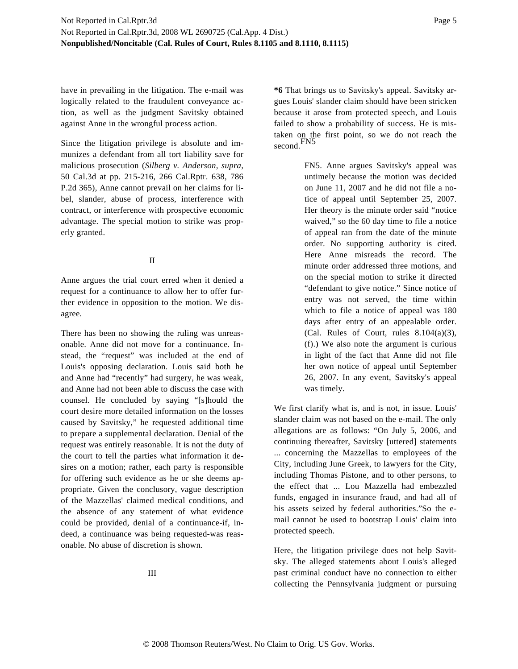have in prevailing in the litigation. The e-mail was logically related to the fraudulent conveyance action, as well as the judgment Savitsky obtained against Anne in the wrongful process action.

Since the litigation privilege is absolute and immunizes a defendant from all tort liability save for malicious prosecution (*Silberg v. Anderson, supra,* 50 Cal.3d at pp. 215-216, 266 Cal.Rptr. 638, 786 P.2d 365), Anne cannot prevail on her claims for libel, slander, abuse of process, interference with contract, or interference with prospective economic advantage. The special motion to strike was properly granted.

## II

Anne argues the trial court erred when it denied a request for a continuance to allow her to offer further evidence in opposition to the motion. We disagree.

There has been no showing the ruling was unreasonable. Anne did not move for a continuance. Instead, the "request" was included at the end of Louis's opposing declaration. Louis said both he and Anne had "recently" had surgery, he was weak, and Anne had not been able to discuss the case with counsel. He concluded by saying "[s]hould the court desire more detailed information on the losses caused by Savitsky," he requested additional time to prepare a supplemental declaration. Denial of the request was entirely reasonable. It is not the duty of the court to tell the parties what information it desires on a motion; rather, each party is responsible for offering such evidence as he or she deems appropriate. Given the conclusory, vague description of the Mazzellas' claimed medical conditions, and the absence of any statement of what evidence could be provided, denial of a continuance-if, indeed, a continuance was being requested-was reasonable. No abuse of discretion is shown.

**\*6** That brings us to Savitsky's appeal. Savitsky argues Louis' slander claim should have been stricken because it arose from protected speech, and Louis failed to show a probability of success. He is mistaken on the first point, so we do not reach the second.FN5

> FN5. Anne argues Savitsky's appeal was untimely because the motion was decided on June 11, 2007 and he did not file a notice of appeal until September 25, 2007. Her theory is the minute order said "notice waived," so the 60 day time to file a notice of appeal ran from the date of the minute order. No supporting authority is cited. Here Anne misreads the record. The minute order addressed three motions, and on the special motion to strike it directed "defendant to give notice." Since notice of entry was not served, the time within which to file a notice of appeal was 180 days after entry of an appealable order. (Cal. Rules of Court, rules  $8.104(a)(3)$ , (f).) We also note the argument is curious in light of the fact that Anne did not file her own notice of appeal until September 26, 2007. In any event, Savitsky's appeal was timely.

We first clarify what is, and is not, in issue. Louis' slander claim was not based on the e-mail. The only allegations are as follows: "On July 5, 2006, and continuing thereafter, Savitsky [uttered] statements ... concerning the Mazzellas to employees of the City, including June Greek, to lawyers for the City, including Thomas Pistone, and to other persons, to the effect that ... Lou Mazzella had embezzled funds, engaged in insurance fraud, and had all of his assets seized by federal authorities."So the email cannot be used to bootstrap Louis' claim into protected speech.

Here, the litigation privilege does not help Savitsky. The alleged statements about Louis's alleged past criminal conduct have no connection to either collecting the Pennsylvania judgment or pursuing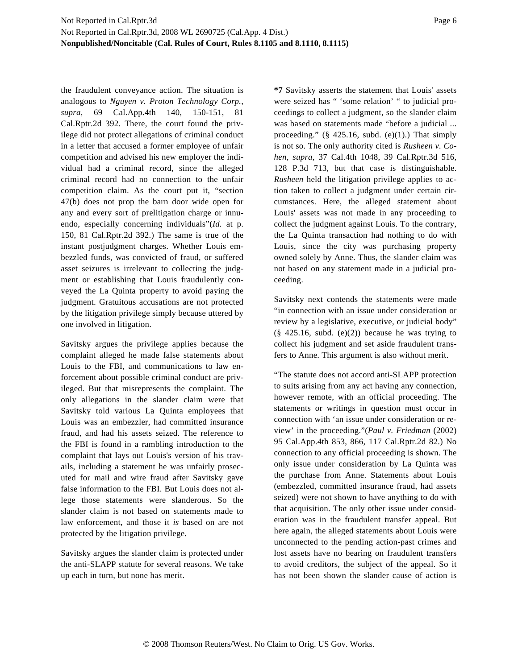the fraudulent conveyance action. The situation is analogous to *Nguyen v. Proton Technology Corp., supra,* 69 Cal.App.4th 140, 150-151, 81 Cal.Rptr.2d 392. There, the court found the privilege did not protect allegations of criminal conduct in a letter that accused a former employee of unfair competition and advised his new employer the individual had a criminal record, since the alleged criminal record had no connection to the unfair competition claim. As the court put it, "section 47(b) does not prop the barn door wide open for any and every sort of prelitigation charge or innuendo, especially concerning individuals"(*Id.* at p. 150, 81 Cal.Rptr.2d 392.) The same is true of the instant postjudgment charges. Whether Louis embezzled funds, was convicted of fraud, or suffered asset seizures is irrelevant to collecting the judgment or establishing that Louis fraudulently conveyed the La Quinta property to avoid paying the judgment. Gratuitous accusations are not protected by the litigation privilege simply because uttered by one involved in litigation.

Savitsky argues the privilege applies because the complaint alleged he made false statements about Louis to the FBI, and communications to law enforcement about possible criminal conduct are privileged. But that misrepresents the complaint. The only allegations in the slander claim were that Savitsky told various La Quinta employees that Louis was an embezzler, had committed insurance fraud, and had his assets seized. The reference to the FBI is found in a rambling introduction to the complaint that lays out Louis's version of his travails, including a statement he was unfairly prosecuted for mail and wire fraud after Savitsky gave false information to the FBI. But Louis does not allege those statements were slanderous. So the slander claim is not based on statements made to law enforcement, and those it *is* based on are not protected by the litigation privilege.

Savitsky argues the slander claim is protected under the anti-SLAPP statute for several reasons. We take up each in turn, but none has merit.

**\*7** Savitsky asserts the statement that Louis' assets were seized has " 'some relation' " to judicial proceedings to collect a judgment, so the slander claim was based on statements made "before a judicial ... proceeding."  $(\S$  425.16, subd.  $(e)(1)$ .) That simply is not so. The only authority cited is *Rusheen v. Cohen, supra,* 37 Cal.4th 1048, 39 Cal.Rptr.3d 516, 128 P.3d 713, but that case is distinguishable. *Rusheen* held the litigation privilege applies to action taken to collect a judgment under certain circumstances. Here, the alleged statement about Louis' assets was not made in any proceeding to collect the judgment against Louis. To the contrary, the La Quinta transaction had nothing to do with Louis, since the city was purchasing property owned solely by Anne. Thus, the slander claim was not based on any statement made in a judicial proceeding.

Savitsky next contends the statements were made "in connection with an issue under consideration or review by a legislative, executive, or judicial body"  $(\S$  425.16, subd. (e)(2)) because he was trying to collect his judgment and set aside fraudulent transfers to Anne. This argument is also without merit.

"The statute does not accord anti-SLAPP protection to suits arising from any act having any connection, however remote, with an official proceeding. The statements or writings in question must occur in connection with 'an issue under consideration or review' in the proceeding."(*Paul v. Friedman* (2002) 95 Cal.App.4th 853, 866, 117 Cal.Rptr.2d 82.) No connection to any official proceeding is shown. The only issue under consideration by La Quinta was the purchase from Anne. Statements about Louis (embezzled, committed insurance fraud, had assets seized) were not shown to have anything to do with that acquisition. The only other issue under consideration was in the fraudulent transfer appeal. But here again, the alleged statements about Louis were unconnected to the pending action-past crimes and lost assets have no bearing on fraudulent transfers to avoid creditors, the subject of the appeal. So it has not been shown the slander cause of action is